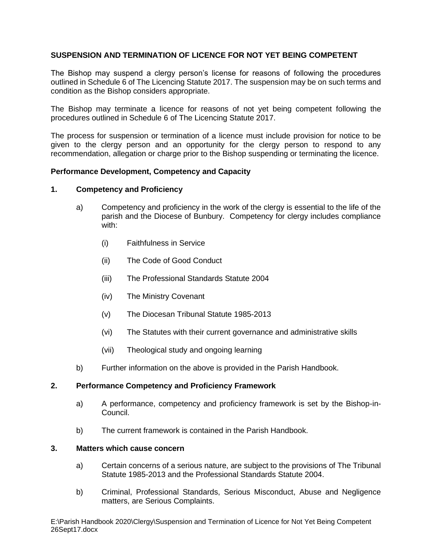# **SUSPENSION AND TERMINATION OF LICENCE FOR NOT YET BEING COMPETENT**

The Bishop may suspend a clergy person's license for reasons of following the procedures outlined in Schedule 6 of The Licencing Statute 2017. The suspension may be on such terms and condition as the Bishop considers appropriate.

The Bishop may terminate a licence for reasons of not yet being competent following the procedures outlined in Schedule 6 of The Licencing Statute 2017.

The process for suspension or termination of a licence must include provision for notice to be given to the clergy person and an opportunity for the clergy person to respond to any recommendation, allegation or charge prior to the Bishop suspending or terminating the licence.

## **Performance Development, Competency and Capacity**

## **1. Competency and Proficiency**

- a) Competency and proficiency in the work of the clergy is essential to the life of the parish and the Diocese of Bunbury. Competency for clergy includes compliance with:
	- (i) Faithfulness in Service
	- (ii) The Code of Good Conduct
	- (iii) The Professional Standards Statute 2004
	- (iv) The Ministry Covenant
	- (v) The Diocesan Tribunal Statute 1985-2013
	- (vi) The Statutes with their current governance and administrative skills
	- (vii) Theological study and ongoing learning
- b) Further information on the above is provided in the Parish Handbook.

#### **2. Performance Competency and Proficiency Framework**

- a) A performance, competency and proficiency framework is set by the Bishop-in-Council.
- b) The current framework is contained in the Parish Handbook.

#### **3. Matters which cause concern**

- a) Certain concerns of a serious nature, are subject to the provisions of The Tribunal Statute 1985-2013 and the Professional Standards Statute 2004.
- b) Criminal, Professional Standards, Serious Misconduct, Abuse and Negligence matters, are Serious Complaints.

E:\Parish Handbook 2020\Clergy\Suspension and Termination of Licence for Not Yet Being Competent 26Sept17.docx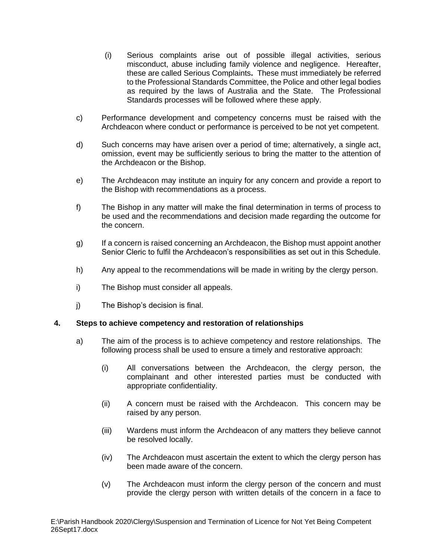- (i) Serious complaints arise out of possible illegal activities, serious misconduct, abuse including family violence and negligence. Hereafter, these are called Serious Complaints**.** These must immediately be referred to the Professional Standards Committee, the Police and other legal bodies as required by the laws of Australia and the State. The Professional Standards processes will be followed where these apply.
- c) Performance development and competency concerns must be raised with the Archdeacon where conduct or performance is perceived to be not yet competent.
- d) Such concerns may have arisen over a period of time; alternatively, a single act, omission, event may be sufficiently serious to bring the matter to the attention of the Archdeacon or the Bishop.
- e) The Archdeacon may institute an inquiry for any concern and provide a report to the Bishop with recommendations as a process.
- f) The Bishop in any matter will make the final determination in terms of process to be used and the recommendations and decision made regarding the outcome for the concern.
- g) If a concern is raised concerning an Archdeacon, the Bishop must appoint another Senior Cleric to fulfil the Archdeacon's responsibilities as set out in this Schedule.
- h) Any appeal to the recommendations will be made in writing by the clergy person.
- i) The Bishop must consider all appeals.
- j) The Bishop's decision is final.

#### **4. Steps to achieve competency and restoration of relationships**

- a) The aim of the process is to achieve competency and restore relationships. The following process shall be used to ensure a timely and restorative approach:
	- (i) All conversations between the Archdeacon, the clergy person, the complainant and other interested parties must be conducted with appropriate confidentiality.
	- (ii) A concern must be raised with the Archdeacon. This concern may be raised by any person.
	- (iii) Wardens must inform the Archdeacon of any matters they believe cannot be resolved locally.
	- (iv) The Archdeacon must ascertain the extent to which the clergy person has been made aware of the concern.
	- (v) The Archdeacon must inform the clergy person of the concern and must provide the clergy person with written details of the concern in a face to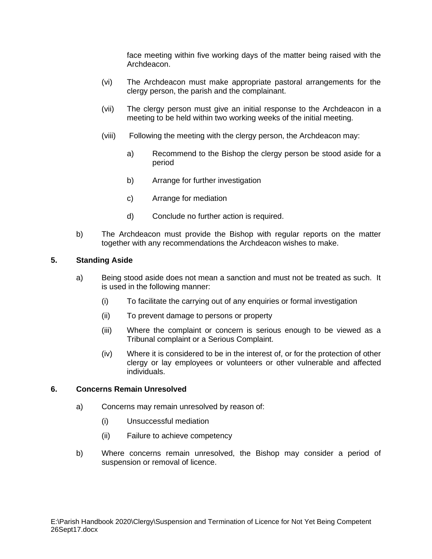face meeting within five working days of the matter being raised with the Archdeacon.

- (vi) The Archdeacon must make appropriate pastoral arrangements for the clergy person, the parish and the complainant.
- (vii) The clergy person must give an initial response to the Archdeacon in a meeting to be held within two working weeks of the initial meeting.
- (viii) Following the meeting with the clergy person, the Archdeacon may:
	- a) Recommend to the Bishop the clergy person be stood aside for a period
	- b) Arrange for further investigation
	- c) Arrange for mediation
	- d) Conclude no further action is required.
- b) The Archdeacon must provide the Bishop with regular reports on the matter together with any recommendations the Archdeacon wishes to make.

## **5. Standing Aside**

- a) Being stood aside does not mean a sanction and must not be treated as such. It is used in the following manner:
	- (i) To facilitate the carrying out of any enquiries or formal investigation
	- (ii) To prevent damage to persons or property
	- (iii) Where the complaint or concern is serious enough to be viewed as a Tribunal complaint or a Serious Complaint.
	- (iv) Where it is considered to be in the interest of, or for the protection of other clergy or lay employees or volunteers or other vulnerable and affected individuals.

## **6. Concerns Remain Unresolved**

- a) Concerns may remain unresolved by reason of:
	- (i) Unsuccessful mediation
	- (ii) Failure to achieve competency
- b) Where concerns remain unresolved, the Bishop may consider a period of suspension or removal of licence.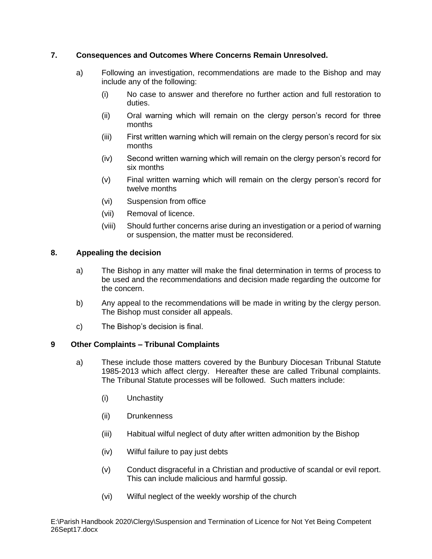# **7. Consequences and Outcomes Where Concerns Remain Unresolved.**

- a) Following an investigation, recommendations are made to the Bishop and may include any of the following:
	- (i) No case to answer and therefore no further action and full restoration to duties.
	- (ii) Oral warning which will remain on the clergy person's record for three months
	- (iii) First written warning which will remain on the clergy person's record for six months
	- (iv) Second written warning which will remain on the clergy person's record for six months
	- (v) Final written warning which will remain on the clergy person's record for twelve months
	- (vi) Suspension from office
	- (vii) Removal of licence.
	- (viii) Should further concerns arise during an investigation or a period of warning or suspension, the matter must be reconsidered.

## **8. Appealing the decision**

- a) The Bishop in any matter will make the final determination in terms of process to be used and the recommendations and decision made regarding the outcome for the concern.
- b) Any appeal to the recommendations will be made in writing by the clergy person. The Bishop must consider all appeals.
- c) The Bishop's decision is final.

#### **9 Other Complaints – Tribunal Complaints**

- a) These include those matters covered by the Bunbury Diocesan Tribunal Statute 1985-2013 which affect clergy. Hereafter these are called Tribunal complaints. The Tribunal Statute processes will be followed. Such matters include:
	- (i) Unchastity
	- (ii) Drunkenness
	- (iii) Habitual wilful neglect of duty after written admonition by the Bishop
	- (iv) Wilful failure to pay just debts
	- (v) Conduct disgraceful in a Christian and productive of scandal or evil report. This can include malicious and harmful gossip.
	- (vi) Wilful neglect of the weekly worship of the church